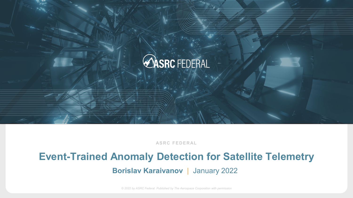

**ASRC FEDERAL**

# **Event-Trained Anomaly Detection for Satellite Telemetry**

**Borislav Karaivanov** | January 2022

*© 2022 by ASRC Federal. Published by The Aerospace Corporation with permission*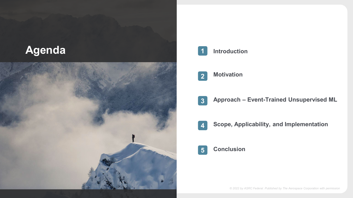



#### **Introduction**

#### **Motivation 2**

- **Approach – Event-Trained Unsupervised ML 3**
- **Scope, Applicability, and Implementation 4**

#### **5 Conclusion**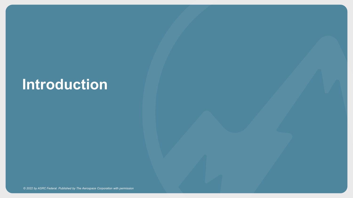# **Introduction**

*© 2022 by ASRC Federal. Published by The Aerospace Corporation with permission*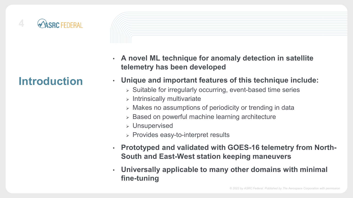

### **Introduction**

- **A novel ML technique for anomaly detection in satellite telemetry has been developed**
- **Unique and important features of this technique include:**
	- Suitable for irregularly occurring, event-based time series
	- $>$  Intrinsically multivariate
	- Makes no assumptions of periodicity or trending in data
	- > Based on powerful machine learning architecture
	- Unsupervised
	- $\triangleright$  Provides easy-to-interpret results
- **Prototyped and validated with GOES-16 telemetry from North-South and East-West station keeping maneuvers**
- **Universally applicable to many other domains with minimal fine-tuning**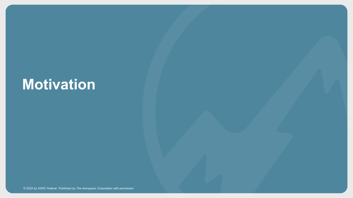# **Motivation**

*© 2022 by ASRC Federal. Published by The Aerospace Corporation with permission*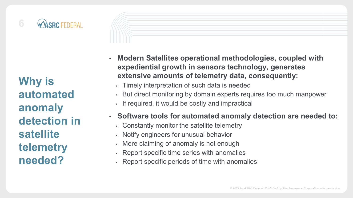

**Why is automated anomaly detection in satellite telemetry needed?**

• **Modern Satellites operational methodologies, coupled with expediential growth in sensors technology, generates extensive amounts of telemetry data, consequently:**

- Timely interpretation of such data is needed
- But direct monitoring by domain experts requires too much manpower
- If required, it would be costly and impractical

#### • **Software tools for automated anomaly detection are needed to:**

- Constantly monitor the satellite telemetry
- Notify engineers for unusual behavior
- Mere claiming of anomaly is not enough
- Report specific time series with anomalies
- Report specific periods of time with anomalies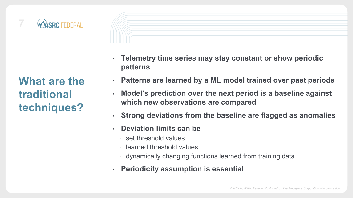

**What are the traditional techniques?**

- **Telemetry time series may stay constant or show periodic patterns**
- **Patterns are learned by a ML model trained over past periods**
- **Model's prediction over the next period is a baseline against which new observations are compared**
- **Strong deviations from the baseline are flagged as anomalies**
- **Deviation limits can be**
	- set threshold values
	- learned threshold values
	- dynamically changing functions learned from training data
- **Periodicity assumption is essential**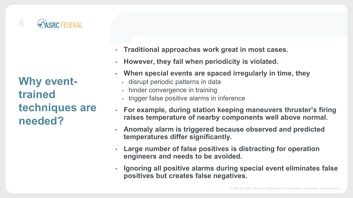

**Why eventtrained techniques are needed?**

- **Traditional approaches work great in most cases.**
- **However, they fail when periodicity is violated.**
- **When special events are spaced irregularly in time, they**
	- disrupt periodic patterns in data
	- hinder convergence in training
	- trigger false positive alarms in inference
- **For example, during station keeping maneuvers thruster's firing raises temperature of nearby components well above normal.**
- **Anomaly alarm is triggered because observed and predicted temperatures differ significantly.**
- **Large number of false positives is distracting for operation engineers and needs to be avoided.**
- **Ignoring all positive alarms during special event eliminates false positives but creates false negatives.**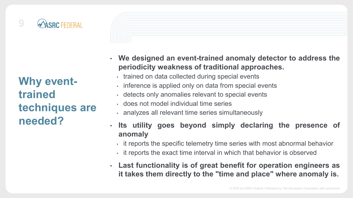

**Why eventtrained techniques are needed?**

- **We designed an event-trained anomaly detector to address the periodicity weakness of traditional approaches.**
	- trained on data collected during special events
	- inference is applied only on data from special events
	- detects only anomalies relevant to special events
	- does not model individual time series
	- analyzes all relevant time series simultaneously
- **Its utility goes beyond simply declaring the presence of anomaly**
	- it reports the specific telemetry time series with most abnormal behavior
	- it reports the exact time interval in which that behavior is observed
- **Last functionality is of great benefit for operation engineers as it takes them directly to the "time and place" where anomaly is.**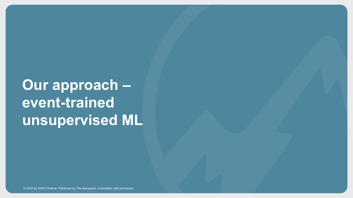# **Our approach – event-trained unsupervised ML**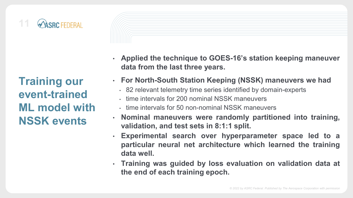

**Training our event-trained ML model with NSSK events**

- **Applied the technique to GOES-16's station keeping maneuver data from the last three years.**
- **For North-South Station Keeping (NSSK) maneuvers we had**
	- 82 relevant telemetry time series identified by domain-experts
	- time intervals for 200 nominal NSSK maneuvers
	- time intervals for 50 non-nominal NSSK maneuvers
- **Nominal maneuvers were randomly partitioned into training, validation, and test sets in 8:1:1 split.**
- **Experimental search over hyperparameter space led to a particular neural net architecture which learned the training data well.**
- **Training was guided by loss evaluation on validation data at the end of each training epoch.**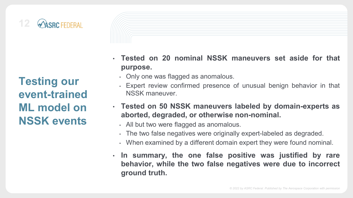

**Testing our event-trained ML model on NSSK events**

• **Tested on 20 nominal NSSK maneuvers set aside for that purpose.**

- Only one was flagged as anomalous.
- Expert review confirmed presence of unusual benign behavior in that NSSK maneuver.
- **Tested on 50 NSSK maneuvers labeled by domain-experts as aborted, degraded, or otherwise non-nominal.**
	- All but two were flagged as anomalous.
	- The two false negatives were originally expert-labeled as degraded.
	- When examined by a different domain expert they were found nominal.
- **In summary, the one false positive was justified by rare behavior, while the two false negatives were due to incorrect ground truth.**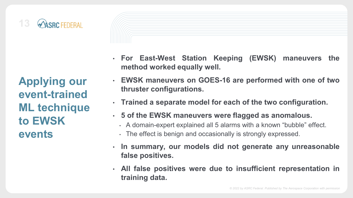

**Applying our event-trained ML technique to EWSK events**

- **For East-West Station Keeping (EWSK) maneuvers the method worked equally well.**
- **EWSK maneuvers on GOES-16 are performed with one of two thruster configurations.**
- **Trained a separate model for each of the two configuration.**
- **5 of the EWSK maneuvers were flagged as anomalous.**
- A domain-expert explained all 5 alarms with a known "bubble" effect.
- The effect is benign and occasionally is strongly expressed.
- **In summary, our models did not generate any unreasonable false positives.**
- **All false positives were due to insufficient representation in training data.**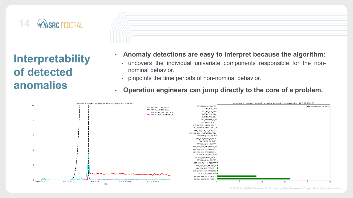

**Interpretability of detected anomalies**



- **Anomaly detections are easy to interpret because the algorithm:**
	- uncovers the individual univariate components responsible for the nonnominal behavior.
	- pinpoints the time periods of non-nominal behavior.
- **Operation engineers can jump directly to the core of a problem.**

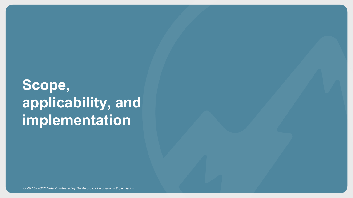# **Scope, applicability, and implementation**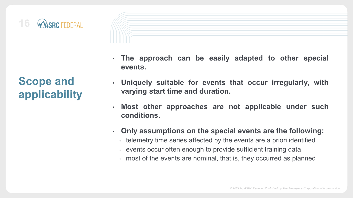

### **Scope and applicability**

- **The approach can be easily adapted to other special events.**
- **Uniquely suitable for events that occur irregularly, with varying start time and duration.**
- **Most other approaches are not applicable under such conditions.**
- **Only assumptions on the special events are the following:**
	- telemetry time series affected by the events are a priori identified
	- events occur often enough to provide sufficient training data
	- most of the events are nominal, that is, they occurred as planned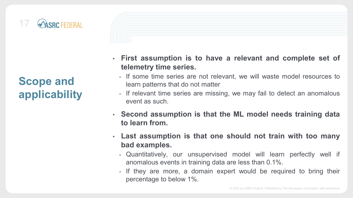

### **Scope and applicability**

- **First assumption is to have a relevant and complete set of telemetry time series.**
- If some time series are not relevant, we will waste model resources to learn patterns that do not matter
- If relevant time series are missing, we may fail to detect an anomalous event as such.
- **Second assumption is that the ML model needs training data to learn from.**
- **Last assumption is that one should not train with too many bad examples.**
	- Quantitatively, our unsupervised model will learn perfectly well if anomalous events in training data are less than 0.1%.
	- If they are more, a domain expert would be required to bring their percentage to below 1%.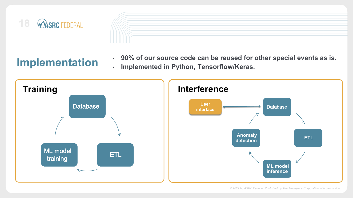



### **Implementation**

• **90% of our source code can be reused for other special events as is.** • **Implemented in Python, Tensorflow/Keras.**

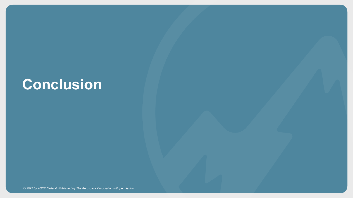# **Conclusion**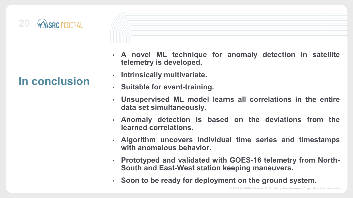

### **In conclusion**

- 
- **A novel ML technique for anomaly detection in satellite telemetry is developed.**
- **Intrinsically multivariate.**
- **Suitable for event-training.**
- **Unsupervised ML model learns all correlations in the entire data set simultaneously.**
- **Anomaly detection is based on the deviations from the learned correlations.**
- **Algorithm uncovers individual time series and timestamps with anomalous behavior.**
- **Prototyped and validated with GOES-16 telemetry from North-South and East-West station keeping maneuvers.**
- **Soon to be ready for deployment on the ground system.**